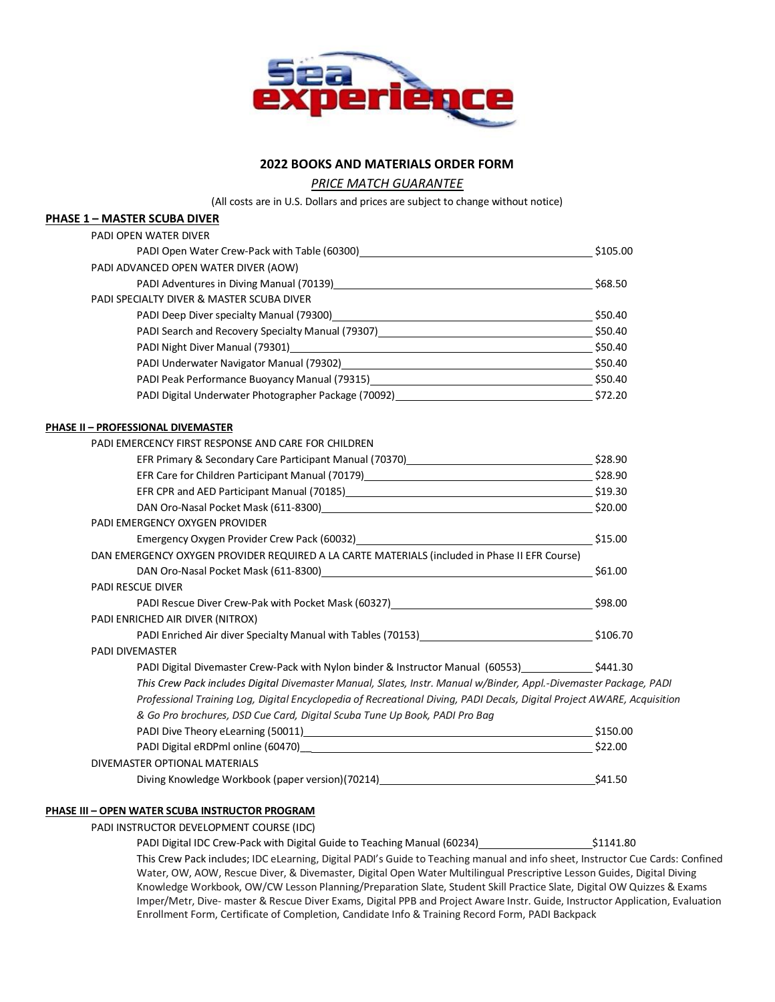

# **2022 BOOKS AND MATERIALS ORDER FORM**

*PRICE MATCH GUARANTEE* 

(All costs are in U.S. Dollars and prices are subject to change without notice)

### **PHASE 1 – MASTER SCUBA DIVER**

| PADI OPEN WATER DIVER                                                                                                                                                     |               |
|---------------------------------------------------------------------------------------------------------------------------------------------------------------------------|---------------|
| PADI Open Water Crew-Pack with Table (60300)<br>Martin Communication Communication of Papier Communication of Papier Communication of Papier Communication of             | $\_$ \$105.00 |
| PADI ADVANCED OPEN WATER DIVER (AOW)                                                                                                                                      |               |
|                                                                                                                                                                           |               |
| PADI SPECIALTY DIVER & MASTER SCUBA DIVER                                                                                                                                 |               |
|                                                                                                                                                                           |               |
|                                                                                                                                                                           |               |
| PADI Night Diver Manual (79301) 40 1 20 20 20 21 22 22 23 24 250.40                                                                                                       |               |
| PADI Underwater Navigator Manual (79302) 40 mm = 200 mm = 200 mm = 200 mm = 250.40                                                                                        |               |
| PADI Peak Performance Buoyancy Manual (79315)<br>550.40                                                                                                                   |               |
|                                                                                                                                                                           |               |
| <b>PHASE II - PROFESSIONAL DIVEMASTER</b>                                                                                                                                 |               |
| PADI EMERCENCY FIRST RESPONSE AND CARE FOR CHILDREN                                                                                                                       |               |
|                                                                                                                                                                           |               |
| EFR Care for Children Participant Manual (70179)<br>S28.90                                                                                                                |               |
| EFR CPR and AED Participant Manual (70185)<br>519.30                                                                                                                      |               |
|                                                                                                                                                                           |               |
| PADI EMERGENCY OXYGEN PROVIDER                                                                                                                                            |               |
| Emergency Oxygen Provider Crew Pack (60032)<br>515.00 States and Contact Crew Pack (60032)                                                                                |               |
| DAN EMERGENCY OXYGEN PROVIDER REQUIRED A LA CARTE MATERIALS (included in Phase II EFR Course)                                                                             |               |
|                                                                                                                                                                           |               |
| PADI RESCUE DIVER                                                                                                                                                         |               |
| PADI Rescue Diver Crew-Pak with Pocket Mask (60327) March 2012 12:398.00                                                                                                  |               |
| PADI ENRICHED AIR DIVER (NITROX)                                                                                                                                          |               |
| PADI Enriched Air diver Specialty Manual with Tables (70153)<br>2005.70                                                                                                   |               |
| <b>PADI DIVEMASTER</b>                                                                                                                                                    |               |
| PADI Digital Divemaster Crew-Pack with Nylon binder & Instructor Manual (60553) ______________\$441.30                                                                    |               |
| This Crew Pack includes Digital Divemaster Manual, Slates, Instr. Manual w/Binder, Appl.-Divemaster Package, PADI                                                         |               |
| Professional Training Log, Digital Encyclopedia of Recreational Diving, PADI Decals, Digital Project AWARE, Acquisition                                                   |               |
| & Go Pro brochures, DSD Cue Card, Digital Scuba Tune Up Book, PADI Pro Bag                                                                                                |               |
|                                                                                                                                                                           | \$150.00      |
|                                                                                                                                                                           | $-$ \$22.00   |
| DIVEMASTER OPTIONAL MATERIALS                                                                                                                                             |               |
| Diving Knowledge Workbook (paper version)(70214)<br>Superstanding Contract Control of Section and Section and Section and Section and Section and Section and Section 201 | \$41.50       |

#### **PHASE III – OPEN WATER SCUBA INSTRUCTOR PROGRAM**

PADI INSTRUCTOR DEVELOPMENT COURSE (IDC)

PADI Digital IDC Crew-Pack with Digital Guide to Teaching Manual (60234) \$1141.80 This Crew Pack includes; IDC eLearning, Digital PADI's Guide to Teaching manual and info sheet, Instructor Cue Cards: Confined Water, OW, AOW, Rescue Diver, & Divemaster, Digital Open Water Multilingual Prescriptive Lesson Guides, Digital Diving Knowledge Workbook, OW/CW Lesson Planning/Preparation Slate, Student Skill Practice Slate, Digital OW Quizzes & Exams Imper/Metr, Dive- master & Rescue Diver Exams, Digital PPB and Project Aware Instr. Guide, Instructor Application, Evaluation Enrollment Form, Certificate of Completion, Candidate Info & Training Record Form, PADI Backpack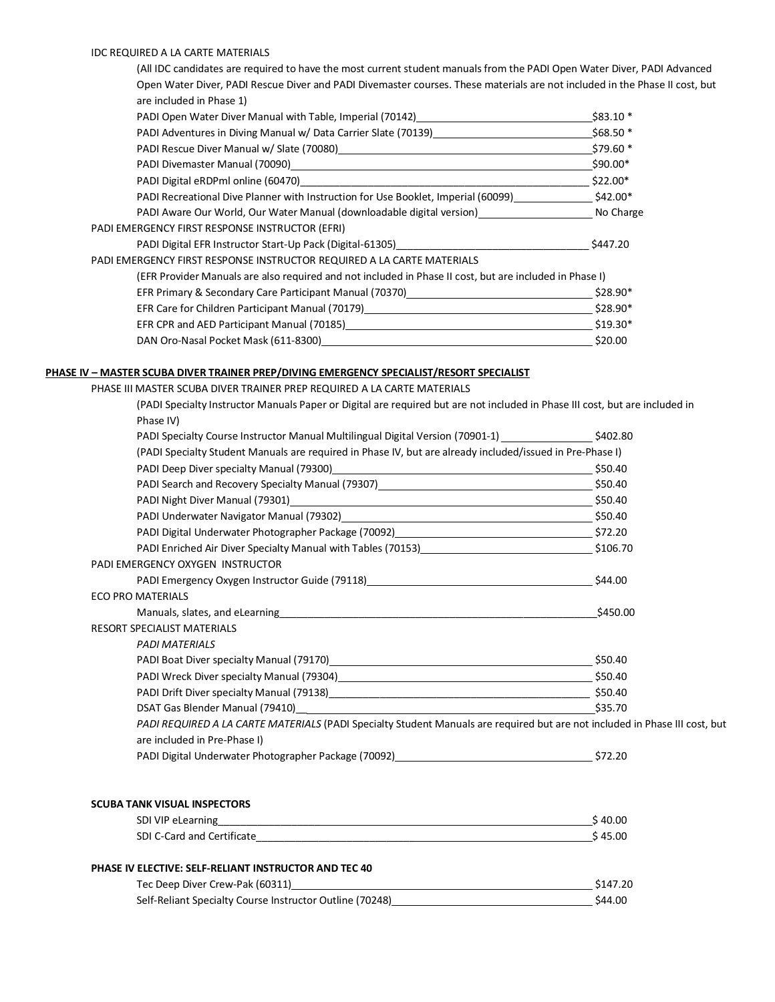#### IDC REQUIRED A LA CARTE MATERIALS

(All IDC candidates are required to have the most current student manuals from the PADI Open Water Diver, PADI Advanced Open Water Diver, PADI Rescue Diver and PADI Divemaster courses. These materials are not included in the Phase II cost, but are included in Phase 1)

| PADI Open Water Diver Manual with Table, Imperial (70142)                                                                                                                                                                      | $$83.10*$ |
|--------------------------------------------------------------------------------------------------------------------------------------------------------------------------------------------------------------------------------|-----------|
| PADI Adventures in Diving Manual w/ Data Carrier Slate (70139)                                                                                                                                                                 | \$68.50 * |
|                                                                                                                                                                                                                                | $$79.60*$ |
| PADI Divemaster Manual (70090) [2009] [2012] [2012] [2012] [2012] [2012] [2012] [2012] [2012] [2012] [2012] [2012] [2012] [2012] [2012] [2012] [2012] [2012] [2012] [2012] [2012] [2012] [2012] [2012] [2012] [2012] [2012] [2 | \$90.00*  |
|                                                                                                                                                                                                                                | \$22.00*  |
| PADI Recreational Dive Planner with Instruction for Use Booklet, Imperial (60099)                                                                                                                                              | \$42.00*  |
| PADI Aware Our World, Our Water Manual (downloadable digital version) ___________________________No Charge                                                                                                                     |           |
| PADI EMERGENCY FIRST RESPONSE INSTRUCTOR (EFRI)                                                                                                                                                                                |           |
| PADI Digital EFR Instructor Start-Up Pack (Digital-61305)_______________________                                                                                                                                               | \$447.20  |
| PADI EMERGENCY FIRST RESPONSE INSTRUCTOR REQUIRED A LA CARTE MATERIALS                                                                                                                                                         |           |
| (EFR Provider Manuals are also required and not included in Phase II cost, but are included in Phase I)                                                                                                                        |           |
| EFR Primary & Secondary Care Participant Manual (70370)                                                                                                                                                                        | $$28.90*$ |
|                                                                                                                                                                                                                                | \$28.90*  |
| EFR CPR and AED Participant Manual (70185) EPR CPR and AED Participant Manual (70185)                                                                                                                                          | \$19.30*  |
| DAN Oro-Nasal Pocket Mask (611-8300)                                                                                                                                                                                           | \$20.00   |

#### **PHASE IV – MASTER SCUBA DIVER TRAINER PREP/DIVING EMERGENCY SPECIALIST/RESORT SPECIALIST**

PHASE III MASTER SCUBA DIVER TRAINER PREP REQUIRED A LA CARTE MATERIALS

| (PADI Specialty Instructor Manuals Paper or Digital are required but are not included in Phase III cost, but are included in                                                                                                   |  |
|--------------------------------------------------------------------------------------------------------------------------------------------------------------------------------------------------------------------------------|--|
| Phase IV)                                                                                                                                                                                                                      |  |
| \$402.80 [402.80] PADI Specialty Course Instructor Manual Multilingual Digital Version (70901-1)                                                                                                                               |  |
| (PADI Specialty Student Manuals are required in Phase IV, but are already included/issued in Pre-Phase I)                                                                                                                      |  |
|                                                                                                                                                                                                                                |  |
|                                                                                                                                                                                                                                |  |
| PADI Night Diver Manual (79301) 2020 12:00:00 12:00 12:00:00 12:00:00 12:00:00 12:00:00 12:00:00 12:00:00 12:00                                                                                                                |  |
| PADI Underwater Navigator Manual (79302) Manual 2012 12:00 12:00 12:00 12:00 12:00 12:00 12:00 12:00 12:00 12:00 12:00 12:00 12:00 12:00 12:00 12:00 12:00 12:00 12:00 12:00 12:00 12:00 12:00 12:00 12:00 12:00 12:00 12:00 1 |  |
| PADI Digital Underwater Photographer Package (70092) [2010] [2010 [2010] [2012] [372.20]                                                                                                                                       |  |
| PADI Enriched Air Diver Specialty Manual with Tables (70153)<br>200.70                                                                                                                                                         |  |
| PADI EMERGENCY OXYGEN INSTRUCTOR                                                                                                                                                                                               |  |
| PADI Emergency Oxygen Instructor Guide (79118) 244.00                                                                                                                                                                          |  |
| <b>ECO PRO MATERIALS</b>                                                                                                                                                                                                       |  |
|                                                                                                                                                                                                                                |  |
| <b>RESORT SPECIALIST MATERIALS</b>                                                                                                                                                                                             |  |
| <b>PADI MATERIALS</b>                                                                                                                                                                                                          |  |
|                                                                                                                                                                                                                                |  |
|                                                                                                                                                                                                                                |  |
|                                                                                                                                                                                                                                |  |
| DSAT Gas Blender Manual (79410) 2002 12:00:00 12:00:00 12:00:00 12:00:00 12:00:00 12:00:00 12:00:00 1                                                                                                                          |  |
| PADI REQUIRED A LA CARTE MATERIALS (PADI Specialty Student Manuals are required but are not included in Phase III cost, but                                                                                                    |  |
| are included in Pre-Phase I)                                                                                                                                                                                                   |  |
| PADI Digital Underwater Photographer Package (70092) 472.20                                                                                                                                                                    |  |
|                                                                                                                                                                                                                                |  |
|                                                                                                                                                                                                                                |  |
| <b>SCUBA TANK VISUAL INSPECTORS</b>                                                                                                                                                                                            |  |

| SDI VIP eLearning          | 40.00 |
|----------------------------|-------|
| SDI C-Card and Certificate | 5.00  |

#### **PHASE IV ELECTIVE: SELF-RELIANT INSTRUCTOR AND TEC 40**

| Tec Deep Diver Crew-Pak (60311)                          | \$147.20 |
|----------------------------------------------------------|----------|
| Self-Reliant Specialty Course Instructor Outline (70248) | \$44.00  |